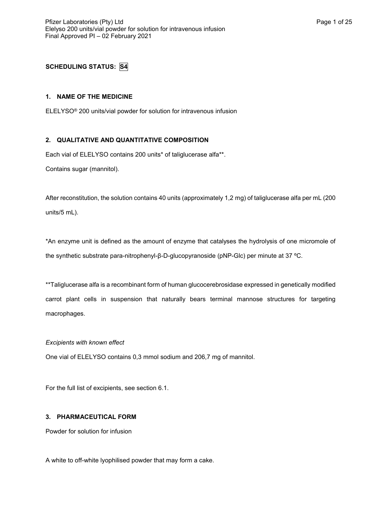# **SCHEDULING STATUS: S4**

## **1. NAME OF THE MEDICINE**

ELELYSO® 200 units/vial powder for solution for intravenous infusion

## **2. QUALITATIVE AND QUANTITATIVE COMPOSITION**

Each vial of ELELYSO contains 200 units\* of taliglucerase alfa\*\*.

Contains sugar (mannitol).

After reconstitution, the solution contains 40 units (approximately 1,2 mg) of taliglucerase alfa per mL (200 units/5 mL).

\*An enzyme unit is defined as the amount of enzyme that catalyses the hydrolysis of one micromole of the synthetic substrate para-nitrophenyl-β-D-glucopyranoside (pNP-Glc) per minute at 37 ºC.

\*\*Taliglucerase alfa is a recombinant form of human glucocerebrosidase expressed in genetically modified carrot plant cells in suspension that naturally bears terminal mannose structures for targeting macrophages.

### *Excipients with known effect*

One vial of ELELYSO contains 0,3 mmol sodium and 206,7 mg of mannitol.

For the full list of excipients, see section 6.1.

## **3. PHARMACEUTICAL FORM**

Powder for solution for infusion

A white to off-white lyophilised powder that may form a cake.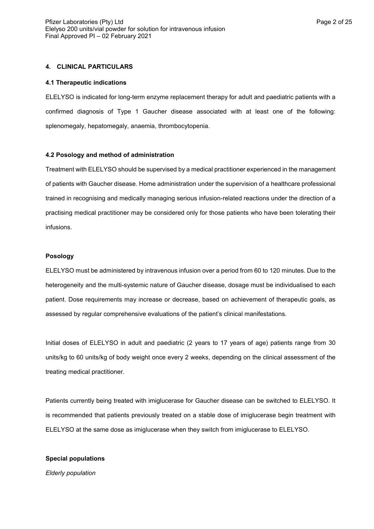## **4. CLINICAL PARTICULARS**

#### **4.1 Therapeutic indications**

ELELYSO is indicated for long-term enzyme replacement therapy for adult and paediatric patients with a confirmed diagnosis of Type 1 Gaucher disease associated with at least one of the following: splenomegaly, hepatomegaly, anaemia, thrombocytopenia.

#### **4.2 Posology and method of administration**

Treatment with ELELYSO should be supervised by a medical practitioner experienced in the management of patients with Gaucher disease. Home administration under the supervision of a healthcare professional trained in recognising and medically managing serious infusion-related reactions under the direction of a practising medical practitioner may be considered only for those patients who have been tolerating their infusions.

#### **Posology**

ELELYSO must be administered by intravenous infusion over a period from 60 to 120 minutes. Due to the heterogeneity and the multi-systemic nature of Gaucher disease, dosage must be individualised to each patient. Dose requirements may increase or decrease, based on achievement of therapeutic goals, as assessed by regular comprehensive evaluations of the patient's clinical manifestations.

Initial doses of ELELYSO in adult and paediatric (2 years to 17 years of age) patients range from 30 units/kg to 60 units/kg of body weight once every 2 weeks, depending on the clinical assessment of the treating medical practitioner.

Patients currently being treated with imiglucerase for Gaucher disease can be switched to ELELYSO. It is recommended that patients previously treated on a stable dose of imiglucerase begin treatment with ELELYSO at the same dose as imiglucerase when they switch from imiglucerase to ELELYSO.

#### **Special populations**

*Elderly population*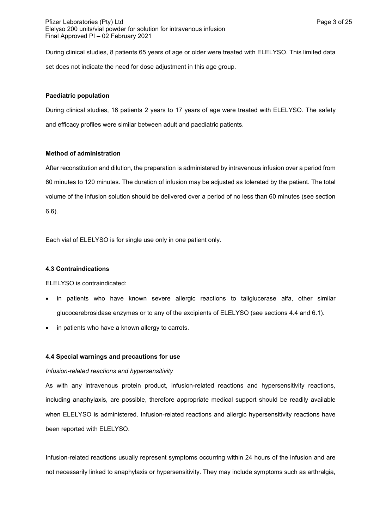Pfizer Laboratories (Pty) Ltd **Page 3 of 25** Pfizer Laboratories (Pty) Ltd Elelyso 200 units/vial powder for solution for intravenous infusion Final Approved PI – 02 February 2021

During clinical studies, 8 patients 65 years of age or older were treated with ELELYSO. This limited data set does not indicate the need for dose adjustment in this age group.

### **Paediatric population**

During clinical studies, 16 patients 2 years to 17 years of age were treated with ELELYSO. The safety and efficacy profiles were similar between adult and paediatric patients.

### **Method of administration**

After reconstitution and dilution, the preparation is administered by intravenous infusion over a period from 60 minutes to 120 minutes. The duration of infusion may be adjusted as tolerated by the patient. The total volume of the infusion solution should be delivered over a period of no less than 60 minutes (see section 6.6).

Each vial of ELELYSO is for single use only in one patient only.

### **4.3 Contraindications**

ELELYSO is contraindicated:

- in patients who have known severe allergic reactions to taliglucerase alfa, other similar glucocerebrosidase enzymes or to any of the excipients of ELELYSO (see sections 4.4 and 6.1).
- in patients who have a known allergy to carrots.

### **4.4 Special warnings and precautions for use**

### *Infusion-related reactions and hypersensitivity*

As with any intravenous protein product, infusion-related reactions and hypersensitivity reactions, including anaphylaxis, are possible, therefore appropriate medical support should be readily available when ELELYSO is administered. Infusion-related reactions and allergic hypersensitivity reactions have been reported with ELELYSO.

Infusion-related reactions usually represent symptoms occurring within 24 hours of the infusion and are not necessarily linked to anaphylaxis or hypersensitivity. They may include symptoms such as arthralgia,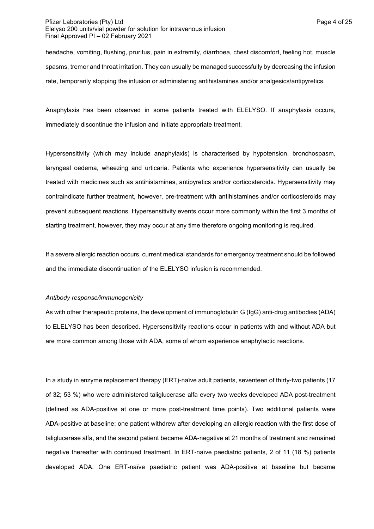### Pfizer Laboratories (Pty) Ltd **Page 4 of 25** and Page 4 of 25 Elelyso 200 units/vial powder for solution for intravenous infusion Final Approved PI – 02 February 2021

headache, vomiting, flushing, pruritus, pain in extremity, diarrhoea, chest discomfort, feeling hot, muscle spasms, tremor and throat irritation. They can usually be managed successfully by decreasing the infusion rate, temporarily stopping the infusion or administering antihistamines and/or analgesics/antipyretics.

Anaphylaxis has been observed in some patients treated with ELELYSO. If anaphylaxis occurs, immediately discontinue the infusion and initiate appropriate treatment.

Hypersensitivity (which may include anaphylaxis) is characterised by hypotension, bronchospasm, laryngeal oedema, wheezing and urticaria. Patients who experience hypersensitivity can usually be treated with medicines such as antihistamines, antipyretics and/or corticosteroids. Hypersensitivity may contraindicate further treatment, however, pre-treatment with antihistamines and/or corticosteroids may prevent subsequent reactions. Hypersensitivity events occur more commonly within the first 3 months of starting treatment, however, they may occur at any time therefore ongoing monitoring is required.

If a severe allergic reaction occurs, current medical standards for emergency treatment should be followed and the immediate discontinuation of the ELELYSO infusion is recommended.

#### *Antibody response/immunogenicity*

As with other therapeutic proteins, the development of immunoglobulin G (IgG) anti-drug antibodies (ADA) to ELELYSO has been described. Hypersensitivity reactions occur in patients with and without ADA but are more common among those with ADA, some of whom experience anaphylactic reactions.

In a study in enzyme replacement therapy (ERT)-naïve adult patients, seventeen of thirty-two patients (17 of 32; 53 %) who were administered taliglucerase alfa every two weeks developed ADA post-treatment (defined as ADA-positive at one or more post-treatment time points). Two additional patients were ADA-positive at baseline; one patient withdrew after developing an allergic reaction with the first dose of taliglucerase alfa, and the second patient became ADA-negative at 21 months of treatment and remained negative thereafter with continued treatment. In ERT-naïve paediatric patients, 2 of 11 (18 %) patients developed ADA. One ERT-naïve paediatric patient was ADA-positive at baseline but became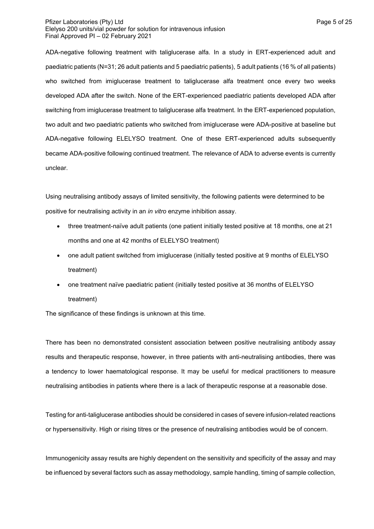### Pfizer Laboratories (Pty) Ltd **Page 5 of 25** and Page 5 of 25 Elelyso 200 units/vial powder for solution for intravenous infusion Final Approved PI – 02 February 2021

ADA-negative following treatment with taliglucerase alfa. In a study in ERT-experienced adult and paediatric patients (N=31; 26 adult patients and 5 paediatric patients), 5 adult patients (16 % of all patients) who switched from imiglucerase treatment to taliglucerase alfa treatment once every two weeks developed ADA after the switch. None of the ERT-experienced paediatric patients developed ADA after switching from imiglucerase treatment to taliglucerase alfa treatment. In the ERT-experienced population, two adult and two paediatric patients who switched from imiglucerase were ADA-positive at baseline but ADA-negative following ELELYSO treatment. One of these ERT-experienced adults subsequently became ADA-positive following continued treatment. The relevance of ADA to adverse events is currently unclear.

Using neutralising antibody assays of limited sensitivity, the following patients were determined to be positive for neutralising activity in an *in vitro* enzyme inhibition assay.

- three treatment-naïve adult patients (one patient initially tested positive at 18 months, one at 21 months and one at 42 months of ELELYSO treatment)
- one adult patient switched from imiglucerase (initially tested positive at 9 months of ELELYSO treatment)
- one treatment naïve paediatric patient (initially tested positive at 36 months of ELELYSO treatment)

The significance of these findings is unknown at this time.

There has been no demonstrated consistent association between positive neutralising antibody assay results and therapeutic response, however, in three patients with anti-neutralising antibodies, there was a tendency to lower haematological response. It may be useful for medical practitioners to measure neutralising antibodies in patients where there is a lack of therapeutic response at a reasonable dose.

Testing for anti-taliglucerase antibodies should be considered in cases of severe infusion-related reactions or hypersensitivity. High or rising titres or the presence of neutralising antibodies would be of concern.

Immunogenicity assay results are highly dependent on the sensitivity and specificity of the assay and may be influenced by several factors such as assay methodology, sample handling, timing of sample collection,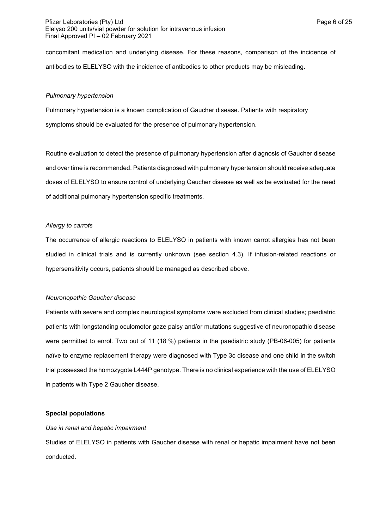concomitant medication and underlying disease. For these reasons, comparison of the incidence of antibodies to ELELYSO with the incidence of antibodies to other products may be misleading.

### *Pulmonary hypertension*

Pulmonary hypertension is a known complication of Gaucher disease. Patients with respiratory symptoms should be evaluated for the presence of pulmonary hypertension.

Routine evaluation to detect the presence of pulmonary hypertension after diagnosis of Gaucher disease and over time is recommended. Patients diagnosed with pulmonary hypertension should receive adequate doses of ELELYSO to ensure control of underlying Gaucher disease as well as be evaluated for the need of additional pulmonary hypertension specific treatments.

### *Allergy to carrots*

The occurrence of allergic reactions to ELELYSO in patients with known carrot allergies has not been studied in clinical trials and is currently unknown (see section 4.3). If infusion-related reactions or hypersensitivity occurs, patients should be managed as described above.

## *Neuronopathic Gaucher disease*

Patients with severe and complex neurological symptoms were excluded from clinical studies; paediatric patients with longstanding oculomotor gaze palsy and/or mutations suggestive of neuronopathic disease were permitted to enrol. Two out of 11 (18 %) patients in the paediatric study (PB-06-005) for patients naïve to enzyme replacement therapy were diagnosed with Type 3c disease and one child in the switch trial possessed the homozygote L444P genotype. There is no clinical experience with the use of ELELYSO in patients with Type 2 Gaucher disease.

## **Special populations**

## *Use in renal and hepatic impairment*

Studies of ELELYSO in patients with Gaucher disease with renal or hepatic impairment have not been conducted.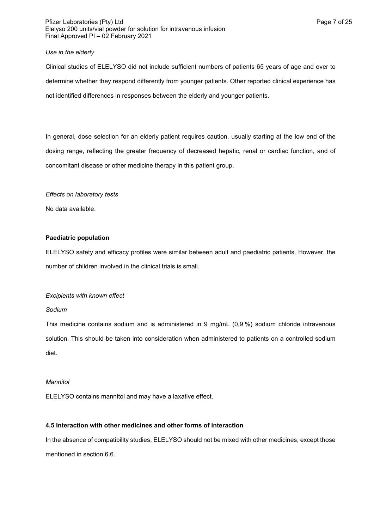### Pfizer Laboratories (Pty) Ltd **Philosopheratories** (Pty) Ltd **Page 7 of 25** Elelyso 200 units/vial powder for solution for intravenous infusion Final Approved PI – 02 February 2021

### *Use in the elderly*

Clinical studies of ELELYSO did not include sufficient numbers of patients 65 years of age and over to determine whether they respond differently from younger patients. Other reported clinical experience has not identified differences in responses between the elderly and younger patients.

In general, dose selection for an elderly patient requires caution, usually starting at the low end of the dosing range, reflecting the greater frequency of decreased hepatic, renal or cardiac function, and of concomitant disease or other medicine therapy in this patient group.

### *Effects on laboratory tests*

No data available.

### **Paediatric population**

ELELYSO safety and efficacy profiles were similar between adult and paediatric patients. However, the number of children involved in the clinical trials is small.

## *Excipients with known effect*

### *Sodium*

This medicine contains sodium and is administered in 9 mg/mL (0,9 %) sodium chloride intravenous solution. This should be taken into consideration when administered to patients on a controlled sodium diet.

### *Mannitol*

ELELYSO contains mannitol and may have a laxative effect.

## **4.5 Interaction with other medicines and other forms of interaction**

In the absence of compatibility studies, ELELYSO should not be mixed with other medicines, except those mentioned in section 6.6.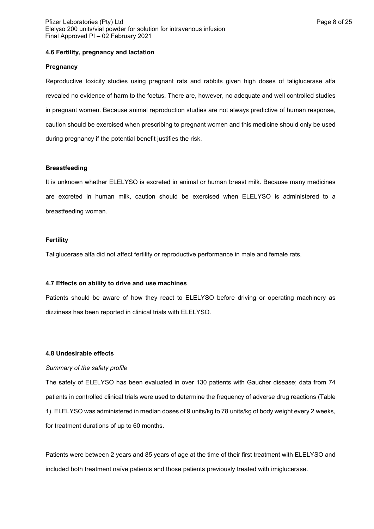#### **4.6 Fertility, pregnancy and lactation**

#### **Pregnancy**

Reproductive toxicity studies using pregnant rats and rabbits given high doses of taliglucerase alfa revealed no evidence of harm to the foetus. There are, however, no adequate and well controlled studies in pregnant women. Because animal reproduction studies are not always predictive of human response, caution should be exercised when prescribing to pregnant women and this medicine should only be used during pregnancy if the potential benefit justifies the risk.

#### **Breastfeeding**

It is unknown whether ELELYSO is excreted in animal or human breast milk. Because many medicines are excreted in human milk, caution should be exercised when ELELYSO is administered to a breastfeeding woman.

#### **Fertility**

Taliglucerase alfa did not affect fertility or reproductive performance in male and female rats.

#### **4.7 Effects on ability to drive and use machines**

Patients should be aware of how they react to ELELYSO before driving or operating machinery as dizziness has been reported in clinical trials with ELELYSO.

### **4.8 Undesirable effects**

#### *Summary of the safety profile*

The safety of ELELYSO has been evaluated in over 130 patients with Gaucher disease; data from 74 patients in controlled clinical trials were used to determine the frequency of adverse drug reactions (Table 1). ELELYSO was administered in median doses of 9 units/kg to 78 units/kg of body weight every 2 weeks, for treatment durations of up to 60 months.

Patients were between 2 years and 85 years of age at the time of their first treatment with ELELYSO and included both treatment naïve patients and those patients previously treated with imiglucerase.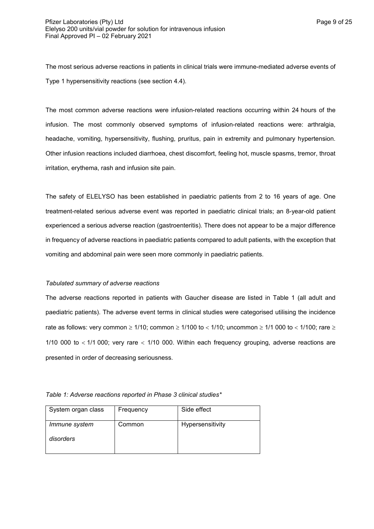The most serious adverse reactions in patients in clinical trials were immune-mediated adverse events of Type 1 hypersensitivity reactions (see section 4.4).

The most common adverse reactions were infusion-related reactions occurring within 24 hours of the infusion. The most commonly observed symptoms of infusion-related reactions were: arthralgia, headache, vomiting, hypersensitivity, flushing, pruritus, pain in extremity and pulmonary hypertension. Other infusion reactions included diarrhoea, chest discomfort, feeling hot, muscle spasms, tremor, throat irritation, erythema, rash and infusion site pain.

The safety of ELELYSO has been established in paediatric patients from 2 to 16 years of age. One treatment-related serious adverse event was reported in paediatric clinical trials; an 8-year-old patient experienced a serious adverse reaction (gastroenteritis). There does not appear to be a major difference in frequency of adverse reactions in paediatric patients compared to adult patients, with the exception that vomiting and abdominal pain were seen more commonly in paediatric patients.

### *Tabulated summary of adverse reactions*

The adverse reactions reported in patients with Gaucher disease are listed in Table 1 (all adult and paediatric patients). The adverse event terms in clinical studies were categorised utilising the incidence rate as follows: very common  $\geq 1/10$ ; common  $\geq 1/100$  to  $< 1/10$ ; uncommon  $\geq 1/1$  000 to  $< 1/100$ ; rare  $\geq$ 1/10 000 to  $<$  1/1 000; very rare  $<$  1/10 000. Within each frequency grouping, adverse reactions are presented in order of decreasing seriousness.

*Table 1: Adverse reactions reported in Phase 3 clinical studies\**

| System organ class         | Frequency | Side effect      |
|----------------------------|-----------|------------------|
| Immune system<br>disorders | Common    | Hypersensitivity |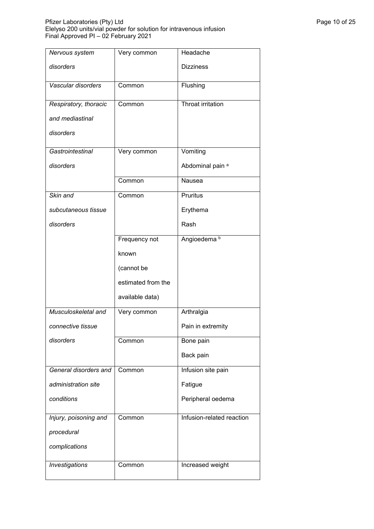### Pfizer Laboratories (Pty) Ltd Page 10 of 25 Elelyso 200 units/vial powder for solution for intravenous infusion Final Approved PI – 02 February 2021

| Nervous system        | Very common        | Headache                    |
|-----------------------|--------------------|-----------------------------|
| disorders             |                    | <b>Dizziness</b>            |
| Vascular disorders    | Common             | Flushing                    |
| Respiratory, thoracic | Common             | Throat irritation           |
| and mediastinal       |                    |                             |
| disorders             |                    |                             |
| Gastrointestinal      | Very common        | Vomiting                    |
| disorders             |                    | Abdominal pain <sup>a</sup> |
|                       | Common             | Nausea                      |
| Skin and              | Common             | Pruritus                    |
| subcutaneous tissue   |                    | Erythema                    |
| disorders             |                    | Rash                        |
|                       | Frequency not      | Angioedema b                |
|                       | known              |                             |
|                       | (cannot be         |                             |
|                       | estimated from the |                             |
|                       | available data)    |                             |
| Musculoskeletal and   | Very common        | Arthralgia                  |
| connective tissue     |                    | Pain in extremity           |
| disorders             | Common             | Bone pain                   |
|                       |                    | Back pain                   |
| General disorders and | Common             | Infusion site pain          |
| administration site   |                    | Fatigue                     |
| conditions            |                    | Peripheral oedema           |
| Injury, poisoning and | Common             | Infusion-related reaction   |
| procedural            |                    |                             |
| complications         |                    |                             |
| Investigations        | Common             | Increased weight            |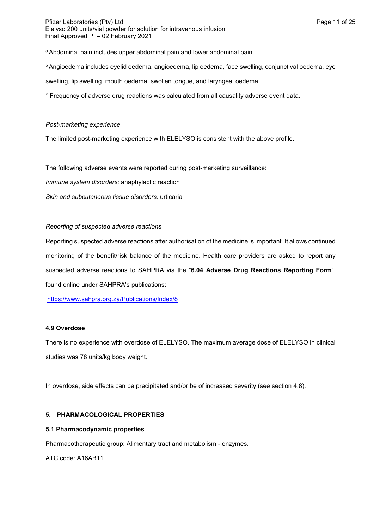Pfizer Laboratories (Pty) Ltd **Page 11 of 25** Page 11 of 25 Elelyso 200 units/vial powder for solution for intravenous infusion Final Approved PI – 02 February 2021

a Abdominal pain includes upper abdominal pain and lower abdominal pain.

**h**Angioedema includes eyelid oedema, angioedema, lip oedema, face swelling, conjunctival oedema, eye

swelling, lip swelling, mouth oedema, swollen tongue, and laryngeal oedema.

\* Frequency of adverse drug reactions was calculated from all causality adverse event data.

### *Post-marketing experience*

The limited post-marketing experience with ELELYSO is consistent with the above profile.

The following adverse events were reported during post-marketing surveillance:

*Immune system disorders:* anaphylactic reaction

*Skin and subcutaneous tissue disorders:* urticaria

### *Reporting of suspected adverse reactions*

Reporting suspected adverse reactions after authorisation of the medicine is important. It allows continued monitoring of the benefit/risk balance of the medicine. Health care providers are asked to report any suspected adverse reactions to SAHPRA via the "**6.04 Adverse Drug Reactions Reporting Form**", found online under SAHPRA's publications:

<https://www.sahpra.org.za/Publications/Index/8>

### **4.9 Overdose**

There is no experience with overdose of ELELYSO. The maximum average dose of ELELYSO in clinical studies was 78 units/kg body weight.

In overdose, side effects can be precipitated and/or be of increased severity (see section 4.8).

## **5. PHARMACOLOGICAL PROPERTIES**

### **5.1 Pharmacodynamic properties**

Pharmacotherapeutic group: Alimentary tract and metabolism - enzymes.

ATC code: A16AB11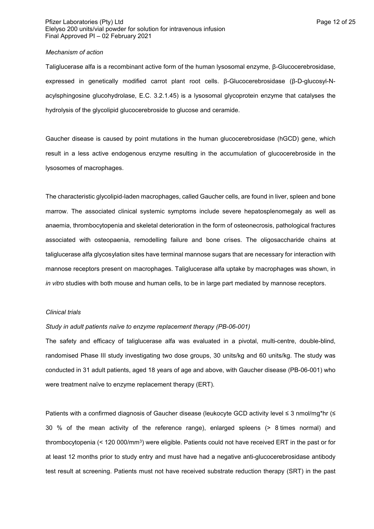### Pfizer Laboratories (Pty) Ltd **Page 12 of 25** Page 12 of 25 Elelyso 200 units/vial powder for solution for intravenous infusion Final Approved PI – 02 February 2021

### *Mechanism of action*

Taliglucerase alfa is a recombinant active form of the human lysosomal enzyme, β-Glucocerebrosidase, expressed in genetically modified carrot plant root cells. β-Glucocerebrosidase (β-D-glucosyl-Nacylsphingosine glucohydrolase, E.C. 3.2.1.45) is a lysosomal glycoprotein enzyme that catalyses the hydrolysis of the glycolipid glucocerebroside to glucose and ceramide.

Gaucher disease is caused by point mutations in the human glucocerebrosidase (hGCD) gene, which result in a less active endogenous enzyme resulting in the accumulation of glucocerebroside in the lysosomes of macrophages.

The characteristic glycolipid-laden macrophages, called Gaucher cells, are found in liver, spleen and bone marrow. The associated clinical systemic symptoms include severe hepatosplenomegaly as well as anaemia, thrombocytopenia and skeletal deterioration in the form of osteonecrosis, pathological fractures associated with osteopaenia, remodelling failure and bone crises. The oligosaccharide chains at taliglucerase alfa glycosylation sites have terminal mannose sugars that are necessary for interaction with mannose receptors present on macrophages. Taliglucerase alfa uptake by macrophages was shown, in *in vitro* studies with both mouse and human cells, to be in large part mediated by mannose receptors.

#### *Clinical trials*

### *Study in adult patients naïve to enzyme replacement therapy (PB-06-001)*

The safety and efficacy of taliglucerase alfa was evaluated in a pivotal, multi-centre, double-blind, randomised Phase III study investigating two dose groups, 30 units/kg and 60 units/kg. The study was conducted in 31 adult patients, aged 18 years of age and above, with Gaucher disease (PB-06-001) who were treatment naïve to enzyme replacement therapy (ERT).

Patients with a confirmed diagnosis of Gaucher disease (leukocyte GCD activity level ≤ 3 nmol/mg\*hr (≤ 30 % of the mean activity of the reference range), enlarged spleens (> 8 times normal) and thrombocytopenia (< 120 000/mm $^3$ ) were eligible. Patients could not have received ERT in the past or for at least 12 months prior to study entry and must have had a negative anti-glucocerebrosidase antibody test result at screening. Patients must not have received substrate reduction therapy (SRT) in the past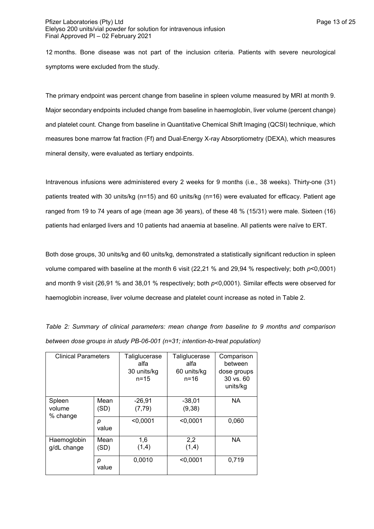### Pfizer Laboratories (Pty) Ltd **Philosopheratories** (Pty) Ltd **Page 13 of 25** Elelyso 200 units/vial powder for solution for intravenous infusion Final Approved PI – 02 February 2021

12 months. Bone disease was not part of the inclusion criteria. Patients with severe neurological symptoms were excluded from the study.

The primary endpoint was percent change from baseline in spleen volume measured by MRI at month 9. Major secondary endpoints included change from baseline in haemoglobin, liver volume (percent change) and platelet count. Change from baseline in Quantitative Chemical Shift Imaging (QCSI) technique, which measures bone marrow fat fraction (Ff) and Dual-Energy X-ray Absorptiometry (DEXA), which measures mineral density, were evaluated as tertiary endpoints.

Intravenous infusions were administered every 2 weeks for 9 months (i.e., 38 weeks). Thirty-one (31) patients treated with 30 units/kg (n=15) and 60 units/kg (n=16) were evaluated for efficacy. Patient age ranged from 19 to 74 years of age (mean age 36 years), of these 48 % (15/31) were male. Sixteen (16) patients had enlarged livers and 10 patients had anaemia at baseline. All patients were naïve to ERT.

Both dose groups, 30 units/kg and 60 units/kg, demonstrated a statistically significant reduction in spleen volume compared with baseline at the month 6 visit (22,21 % and 29,94 % respectively; both *p*<0,0001) and month 9 visit (26,91 % and 38,01 % respectively; both *p*<0,0001). Similar effects were observed for haemoglobin increase, liver volume decrease and platelet count increase as noted in Table 2.

| <b>Clinical Parameters</b>   |              | Taliglucerase<br>alfa<br>30 units/kg<br>$n = 15$ | Taliglucerase<br>alfa<br>60 units/kg<br>$n = 16$ | Comparison<br>between<br>dose groups<br>30 vs. 60<br>units/kg |
|------------------------------|--------------|--------------------------------------------------|--------------------------------------------------|---------------------------------------------------------------|
| Spleen<br>volume<br>% change | Mean<br>(SD) | $-26,91$<br>(7, 79)                              | $-38,01$<br>(9, 38)                              | <b>NA</b>                                                     |
|                              | р<br>value   | < 0.0001                                         | < 0.0001                                         | 0,060                                                         |
| Haemoglobin<br>g/dL change   | Mean<br>(SD) | 1,6<br>(1,4)                                     | 2,2<br>(1,4)                                     | <b>NA</b>                                                     |
|                              | р<br>value   | 0,0010                                           | < 0,0001                                         | 0,719                                                         |

*Table 2: Summary of clinical parameters: mean change from baseline to 9 months and comparison between dose groups in study PB-06-001 (n=31; intention-to-treat population)*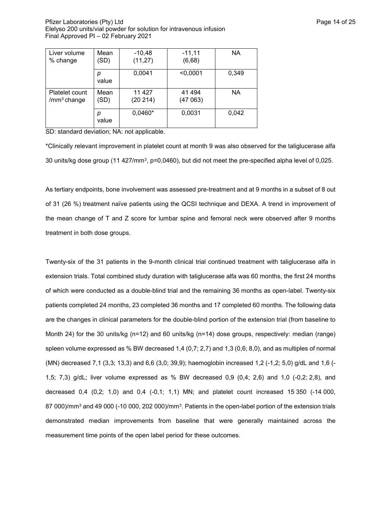Pfizer Laboratories (Pty) Ltd **Page 14 of 25** Pfizer Laboratories (Pty) Ltd Elelyso 200 units/vial powder for solution for intravenous infusion Final Approved PI – 02 February 2021

| Liver volume            | Mean       | $-10,48$  | $-11,11$ | <b>NA</b> |
|-------------------------|------------|-----------|----------|-----------|
| % change                | 'SD)       | (11, 27)  | (6,68)   |           |
|                         | р<br>value | 0,0041    | < 0,0001 | 0,349     |
| Platelet count          | Mean       | 11 427    | 41 494   | NA.       |
| /mm <sup>3</sup> change | (SD)       | (20 214)  | (47063)  |           |
|                         | р<br>value | $0,0460*$ | 0,0031   | 0,042     |

SD: standard deviation; NA: not applicable.

\*Clinically relevant improvement in platelet count at month 9 was also observed for the taliglucerase alfa 30 units/kg dose group (11 427/mm<sup>3</sup>, p=0,0460), but did not meet the pre-specified alpha level of 0,025.

As tertiary endpoints, bone involvement was assessed pre-treatment and at 9 months in a subset of 8 out of 31 (26 %) treatment naïve patients using the QCSI technique and DEXA. A trend in improvement of the mean change of T and Z score for lumbar spine and femoral neck were observed after 9 months treatment in both dose groups.

Twenty-six of the 31 patients in the 9-month clinical trial continued treatment with taliglucerase alfa in extension trials. Total combined study duration with taliglucerase alfa was 60 months, the first 24 months of which were conducted as a double-blind trial and the remaining 36 months as open-label. Twenty-six patients completed 24 months, 23 completed 36 months and 17 completed 60 months. The following data are the changes in clinical parameters for the double-blind portion of the extension trial (from baseline to Month 24) for the 30 units/kg (n=12) and 60 units/kg (n=14) dose groups, respectively: median (range) spleen volume expressed as % BW decreased 1,4 (0,7; 2,7) and 1,3 (0,6; 8,0), and as multiples of normal (MN) decreased 7,1 (3,3; 13,3) and 6,6 (3,0; 39,9); haemoglobin increased 1,2 (-1,2; 5,0) g/dL and 1,6 (- 1,5; 7,3) g/dL; liver volume expressed as % BW decreased 0,9 (0,4; 2,6) and 1,0 (-0,2; 2,8), and decreased 0,4 (0,2; 1,0) and 0,4 (-0,1; 1,1) MN; and platelet count increased 15 350 (-14 000, 87 000)/mm<sup>3</sup> and 49 000 (-10 000, 202 000)/mm<sup>3</sup>. Patients in the open-label portion of the extension trials demonstrated median improvements from baseline that were generally maintained across the measurement time points of the open label period for these outcomes.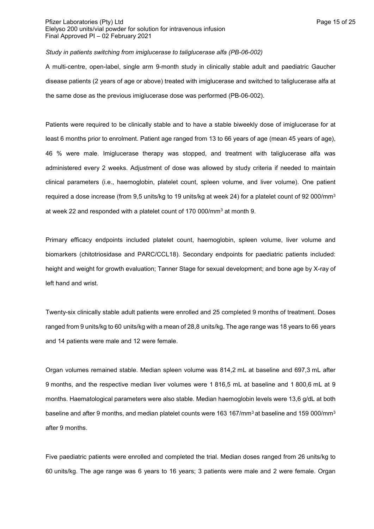### Pfizer Laboratories (Pty) Ltd **Page 15 of 25** of 25 Elelyso 200 units/vial powder for solution for intravenous infusion Final Approved PI – 02 February 2021

#### *Study in patients switching from imiglucerase to taliglucerase alfa (PB-06-002)*

A multi-centre, open-label, single arm 9-month study in clinically stable adult and paediatric Gaucher disease patients (2 years of age or above) treated with imiglucerase and switched to taliglucerase alfa at the same dose as the previous imiglucerase dose was performed (PB-06-002).

Patients were required to be clinically stable and to have a stable biweekly dose of imiglucerase for at least 6 months prior to enrolment. Patient age ranged from 13 to 66 years of age (mean 45 years of age), 46 % were male. Imiglucerase therapy was stopped, and treatment with taliglucerase alfa was administered every 2 weeks. Adjustment of dose was allowed by study criteria if needed to maintain clinical parameters (i.e., haemoglobin, platelet count, spleen volume, and liver volume). One patient required a dose increase (from 9,5 units/kg to 19 units/kg at week 24) for a platelet count of 92 000/mm<sup>3</sup> at week 22 and responded with a platelet count of 170 000/mm<sup>3</sup> at month 9.

Primary efficacy endpoints included platelet count, haemoglobin, spleen volume, liver volume and biomarkers (chitotriosidase and PARC/CCL18). Secondary endpoints for paediatric patients included: height and weight for growth evaluation; Tanner Stage for sexual development; and bone age by X-ray of left hand and wrist.

Twenty-six clinically stable adult patients were enrolled and 25 completed 9 months of treatment. Doses ranged from 9 units/kg to 60 units/kg with a mean of 28,8 units/kg. The age range was 18 years to 66 years and 14 patients were male and 12 were female.

Organ volumes remained stable. Median spleen volume was 814,2 mL at baseline and 697,3 mL after 9 months, and the respective median liver volumes were 1 816,5 mL at baseline and 1 800,6 mL at 9 months. Haematological parameters were also stable. Median haemoglobin levels were 13,6 g/dL at both baseline and after 9 months, and median platelet counts were 163 167/mm<sup>3</sup> at baseline and 159 000/mm<sup>3</sup> after 9 months.

Five paediatric patients were enrolled and completed the trial. Median doses ranged from 26 units/kg to 60 units/kg. The age range was 6 years to 16 years; 3 patients were male and 2 were female. Organ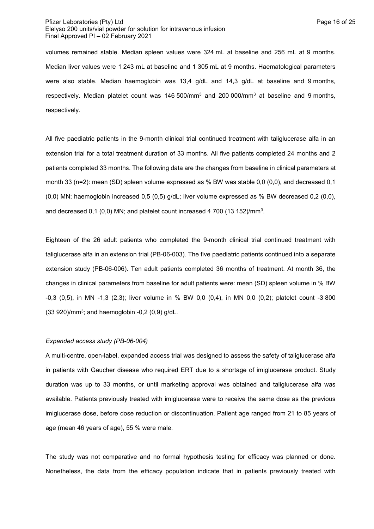### Pfizer Laboratories (Pty) Ltd **Page 16 of 25** Page 16 of 25 Elelyso 200 units/vial powder for solution for intravenous infusion Final Approved PI – 02 February 2021

volumes remained stable. Median spleen values were 324 mL at baseline and 256 mL at 9 months. Median liver values were 1 243 mL at baseline and 1 305 mL at 9 months. Haematological parameters were also stable. Median haemoglobin was 13,4 g/dL and 14,3 g/dL at baseline and 9 months, respectively. Median platelet count was  $146,500/\text{mm}^3$  and  $200,000/\text{mm}^3$  at baseline and 9 months, respectively.

All five paediatric patients in the 9-month clinical trial continued treatment with taliglucerase alfa in an extension trial for a total treatment duration of 33 months. All five patients completed 24 months and 2 patients completed 33 months. The following data are the changes from baseline in clinical parameters at month 33 (n=2): mean (SD) spleen volume expressed as % BW was stable 0,0 (0,0), and decreased 0,1 (0,0) MN; haemoglobin increased 0,5 (0,5) g/dL; liver volume expressed as % BW decreased 0,2 (0,0), and decreased  $0,1$  (0,0) MN; and platelet count increased 4 700 (13 152)/mm<sup>3</sup>.

Eighteen of the 26 adult patients who completed the 9-month clinical trial continued treatment with taliglucerase alfa in an extension trial (PB-06-003). The five paediatric patients continued into a separate extension study (PB-06-006). Ten adult patients completed 36 months of treatment. At month 36, the changes in clinical parameters from baseline for adult patients were: mean (SD) spleen volume in % BW -0,3 (0,5), in MN -1,3 (2,3); liver volume in % BW 0,0 (0,4), in MN 0,0 (0,2); platelet count -3 800  $(33 920)$ /mm<sup>3</sup>; and haemoglobin -0,2  $(0,9)$  g/dL.

#### *Expanded access study (PB-06-004)*

A multi-centre, open-label, expanded access trial was designed to assess the safety of taliglucerase alfa in patients with Gaucher disease who required ERT due to a shortage of imiglucerase product. Study duration was up to 33 months, or until marketing approval was obtained and taliglucerase alfa was available. Patients previously treated with imiglucerase were to receive the same dose as the previous imiglucerase dose, before dose reduction or discontinuation. Patient age ranged from 21 to 85 years of age (mean 46 years of age), 55 % were male.

The study was not comparative and no formal hypothesis testing for efficacy was planned or done. Nonetheless, the data from the efficacy population indicate that in patients previously treated with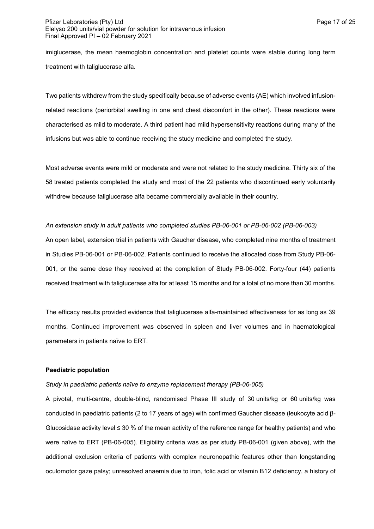### Pfizer Laboratories (Pty) Ltd **Page 17 of 25** Page 17 of 25 Elelyso 200 units/vial powder for solution for intravenous infusion Final Approved PI – 02 February 2021

imiglucerase, the mean haemoglobin concentration and platelet counts were stable during long term treatment with taliglucerase alfa.

Two patients withdrew from the study specifically because of adverse events (AE) which involved infusionrelated reactions (periorbital swelling in one and chest discomfort in the other). These reactions were characterised as mild to moderate. A third patient had mild hypersensitivity reactions during many of the infusions but was able to continue receiving the study medicine and completed the study.

Most adverse events were mild or moderate and were not related to the study medicine. Thirty six of the 58 treated patients completed the study and most of the 22 patients who discontinued early voluntarily withdrew because taliglucerase alfa became commercially available in their country.

*An extension study in adult patients who completed studies PB-06-001 or PB-06-002 (PB-06-003)* An open label, extension trial in patients with Gaucher disease, who completed nine months of treatment in Studies PB-06-001 or PB-06-002. Patients continued to receive the allocated dose from Study PB-06- 001, or the same dose they received at the completion of Study PB-06-002. Forty-four (44) patients received treatment with taliglucerase alfa for at least 15 months and for a total of no more than 30 months.

The efficacy results provided evidence that taliglucerase alfa-maintained effectiveness for as long as 39 months. Continued improvement was observed in spleen and liver volumes and in haematological parameters in patients naïve to ERT.

## **Paediatric population**

### *Study in paediatric patients naïve to enzyme replacement therapy (PB-06-005)*

A pivotal, multi-centre, double-blind, randomised Phase III study of 30 units/kg or 60 units/kg was conducted in paediatric patients (2 to 17 years of age) with confirmed Gaucher disease (leukocyte acid β-Glucosidase activity level  $\leq 30$  % of the mean activity of the reference range for healthy patients) and who were naïve to ERT (PB-06-005). Eligibility criteria was as per study PB-06-001 (given above), with the additional exclusion criteria of patients with complex neuronopathic features other than longstanding oculomotor gaze palsy; unresolved anaemia due to iron, folic acid or vitamin B12 deficiency, a history of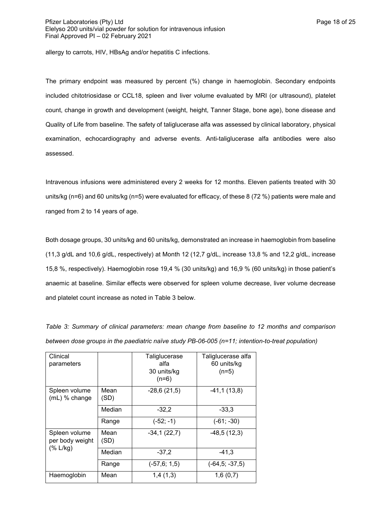allergy to carrots, HIV, HBsAg and/or hepatitis C infections.

The primary endpoint was measured by percent (%) change in haemoglobin. Secondary endpoints included chitotriosidase or CCL18, spleen and liver volume evaluated by MRI (or ultrasound), platelet count, change in growth and development (weight, height, Tanner Stage, bone age), bone disease and Quality of Life from baseline. The safety of taliglucerase alfa was assessed by clinical laboratory, physical examination, echocardiography and adverse events. Anti-taliglucerase alfa antibodies were also assessed.

Intravenous infusions were administered every 2 weeks for 12 months. Eleven patients treated with 30 units/kg (n=6) and 60 units/kg (n=5) were evaluated for efficacy, of these 8 (72 %) patients were male and ranged from 2 to 14 years of age.

Both dosage groups, 30 units/kg and 60 units/kg, demonstrated an increase in haemoglobin from baseline (11,3 g/dL and 10,6 g/dL, respectively) at Month 12 (12,7 g/dL, increase 13,8 % and 12,2 g/dL, increase 15,8 %, respectively). Haemoglobin rose 19,4 % (30 units/kg) and 16,9 % (60 units/kg) in those patient's anaemic at baseline. Similar effects were observed for spleen volume decrease, liver volume decrease and platelet count increase as noted in Table 3 below.

| Clinical<br>parameters           |              | Taliglucerase<br>alfa<br>30 units/kg<br>$(n=6)$ | Taliglucerase alfa<br>60 units/kg<br>$(n=5)$ |
|----------------------------------|--------------|-------------------------------------------------|----------------------------------------------|
| Spleen volume<br>(mL) % change   | Mean<br>(SD) | $-28,6(21,5)$                                   | $-41,1(13,8)$                                |
|                                  | Median       | $-32,2$                                         | $-33.3$                                      |
|                                  | Range        | $(-52; -1)$                                     | $(-61; -30)$                                 |
| Spleen volume<br>per body weight | Mean<br>(SD) | $-34,1(22,7)$                                   | $-48,5(12,3)$                                |
| (% L/kg)                         | Median       | $-37.2$                                         | $-41,3$                                      |
|                                  | Range        | $(-57, 6; 1, 5)$                                | (-64,5; -37,5)                               |
| Haemoglobin                      | Mean         | 1,4(1,3)                                        | 1,6(0,7)                                     |

*Table 3: Summary of clinical parameters: mean change from baseline to 12 months and comparison between dose groups in the paediatric naïve study PB-06-005 (n=11; intention-to-treat population)*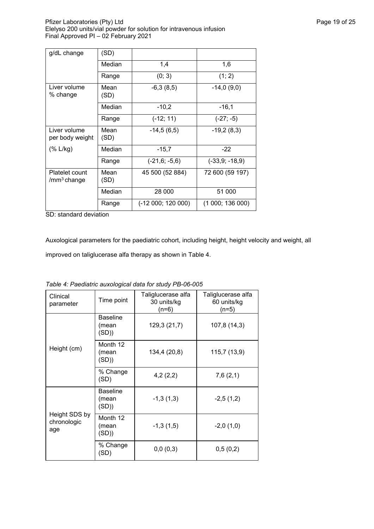Pfizer Laboratories (Pty) Ltd **Philosopheratories** (Pty) Ltd **Page 19 of 25** Elelyso 200 units/vial powder for solution for intravenous infusion Final Approved PI – 02 February 2021

| g/dL change                          | (SD)         |                    |                  |
|--------------------------------------|--------------|--------------------|------------------|
|                                      | Median       | 1,4                | 1,6              |
|                                      | Range        | (0; 3)             | (1; 2)           |
| Liver volume<br>% change             | Mean<br>(SD) | $-6,3(8,5)$        | $-14,0(9,0)$     |
|                                      | Median       | $-10,2$            | $-16.1$          |
|                                      | Range        | $(-12; 11)$        | $(-27; -5)$      |
| Liver volume<br>per body weight      | Mean<br>(SD) | $-14,5(6,5)$       | $-19,2(8,3)$     |
| (% L/kg)                             | Median       | $-15,7$            | $-22$            |
|                                      | Range        | $(-21,6; -5,6)$    | $(-33,9; -18,9)$ |
| Platelet count<br>$\rm /mm^3$ change | Mean<br>(SD) | 45 500 (52 884)    | 72 600 (59 197)  |
|                                      | Median       | 28 000             | 51 000           |
|                                      | Range        | $(-12000; 120000)$ | (1000; 136000)   |

SD: standard deviation

Auxological parameters for the paediatric cohort, including height, height velocity and weight, all improved on taliglucerase alfa therapy as shown in Table 4.

| Clinical<br>parameter               | Time point                        | Taliglucerase alfa<br>30 units/kg<br>(n=6) | Taliglucerase alfa<br>60 units/kg<br>(n=5) |
|-------------------------------------|-----------------------------------|--------------------------------------------|--------------------------------------------|
|                                     | <b>Baseline</b><br>(mean<br>(SD)) | 129,3 (21,7)                               | 107,8 (14,3)                               |
| Height (cm)                         | Month 12<br>(mean<br>(SD))        | 134,4 (20,8)                               | 115,7 (13,9)                               |
|                                     | % Change<br>(SD)                  | 4,2(2,2)                                   | 7,6(2,1)                                   |
|                                     | <b>Baseline</b><br>(mean<br>(SD)) | $-1,3(1,3)$                                | $-2,5(1,2)$                                |
| Height SDS by<br>chronologic<br>age | Month 12<br>(mean<br>(SD))        | $-1,3(1,5)$                                | $-2,0(1,0)$                                |
|                                     | % Change<br>(SD)                  | 0,0(0,3)                                   | 0,5(0,2)                                   |

*Table 4: Paediatric auxological data for study PB-06-005*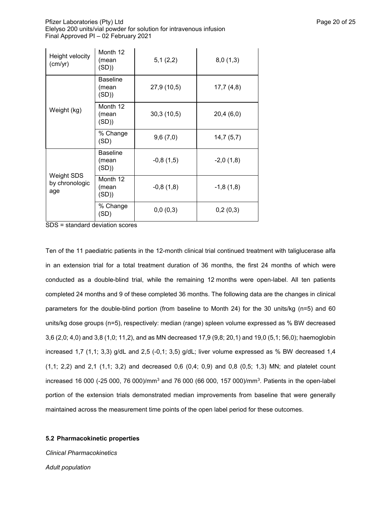Pfizer Laboratories (Pty) Ltd **Page 20 of 25** Pfizer Laboratories (Pty) Ltd Elelyso 200 units/vial powder for solution for intravenous infusion Final Approved PI – 02 February 2021

| Height velocity<br>(cm/yr)                 | Month 12<br>(mean<br>(SD))        | 5,1(2,2)    | 8,0(1,3)    |
|--------------------------------------------|-----------------------------------|-------------|-------------|
| Weight (kg)                                | <b>Baseline</b><br>(mean<br>(SD)  | 27,9 (10,5) | 17,7(4,8)   |
|                                            | Month 12<br>(mean<br>(SD)         | 30,3(10,5)  | 20,4(6,0)   |
|                                            | % Change<br>(SD)                  | 9,6(7,0)    | 14,7(5,7)   |
|                                            | <b>Baseline</b><br>(mean<br>(SD)) | $-0,8(1,5)$ | $-2,0(1,8)$ |
| <b>Weight SDS</b><br>by chronologic<br>age | Month 12<br>(mean<br>(SD)         | $-0,8(1,8)$ | $-1,8(1,8)$ |
|                                            | % Change<br>(SD)                  | 0,0(0,3)    | 0,2(0,3)    |

SDS = standard deviation scores

Ten of the 11 paediatric patients in the 12-month clinical trial continued treatment with taliglucerase alfa in an extension trial for a total treatment duration of 36 months, the first 24 months of which were conducted as a double-blind trial, while the remaining 12 months were open-label. All ten patients completed 24 months and 9 of these completed 36 months. The following data are the changes in clinical parameters for the double-blind portion (from baseline to Month 24) for the 30 units/kg (n=5) and 60 units/kg dose groups (n=5), respectively: median (range) spleen volume expressed as % BW decreased 3,6 (2,0; 4,0) and 3,8 (1,0; 11,2), and as MN decreased 17,9 (9,8; 20,1) and 19,0 (5,1; 56,0); haemoglobin increased 1,7 (1,1; 3,3) g/dL and 2,5 (-0,1; 3,5) g/dL; liver volume expressed as % BW decreased 1,4 (1,1; 2,2) and 2,1 (1,1; 3,2) and decreased 0,6 (0,4; 0,9) and 0,8 (0,5; 1,3) MN; and platelet count increased 16 000 (-25 000, 76 000)/mm $^3$  and 76 000 (66 000, 157 000)/mm $^3$ . Patients in the open-label portion of the extension trials demonstrated median improvements from baseline that were generally maintained across the measurement time points of the open label period for these outcomes.

### **5.2 Pharmacokinetic properties**

*Clinical Pharmacokinetics Adult population*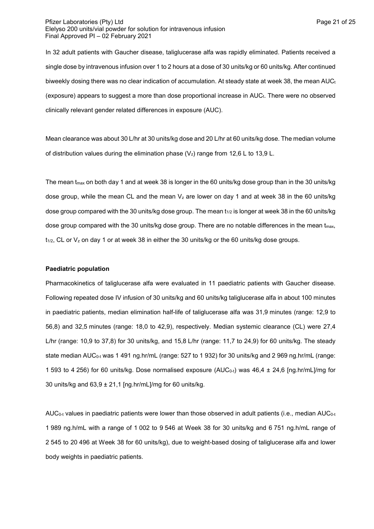#### Pfizer Laboratories (Pty) Ltd **Page 21 of 25** Pfizer Laboratories (Pty) Ltd Elelyso 200 units/vial powder for solution for intravenous infusion Final Approved PI – 02 February 2021

In 32 adult patients with Gaucher disease, taliglucerase alfa was rapidly eliminated. Patients received a single dose by intravenous infusion over 1 to 2 hours at a dose of 30 units/kg or 60 units/kg. After continued biweekly dosing there was no clear indication of accumulation. At steady state at week 38, the mean  $AUC_t$ (exposure) appears to suggest a more than dose proportional increase in  $AUC_t$ . There were no observed clinically relevant gender related differences in exposure (AUC).

Mean clearance was about 30 L/hr at 30 units/kg dose and 20 L/hr at 60 units/kg dose. The median volume of distribution values during the elimination phase  $(V_z)$  range from 12,6 L to 13,9 L.

The mean tmax on both day 1 and at week 38 is longer in the 60 units/kg dose group than in the 30 units/kg dose group, while the mean CL and the mean  $V<sub>z</sub>$  are lower on day 1 and at week 38 in the 60 units/kg dose group compared with the 30 units/kg dose group. The mean  $t_{1/2}$  is longer at week 38 in the 60 units/kg dose group compared with the 30 units/kg dose group. There are no notable differences in the mean  $t_{\text{max}}$ ,  $t_{1/2}$ , CL or V<sub>z</sub> on day 1 or at week 38 in either the 30 units/kg or the 60 units/kg dose groups.

### **Paediatric population**

Pharmacokinetics of taliglucerase alfa were evaluated in 11 paediatric patients with Gaucher disease. Following repeated dose IV infusion of 30 units/kg and 60 units/kg taliglucerase alfa in about 100 minutes in paediatric patients, median elimination half-life of taliglucerase alfa was 31,9 minutes (range: 12,9 to 56,8) and 32,5 minutes (range: 18,0 to 42,9), respectively. Median systemic clearance (CL) were 27,4 L/hr (range: 10,9 to 37,8) for 30 units/kg, and 15,8 L/hr (range: 11,7 to 24,9) for 60 units/kg. The steady state median AUC<sub>0-t</sub> was 1 491 ng.hr/mL (range: 527 to 1 932) for 30 units/kg and 2 969 ng.hr/mL (range: 1 593 to 4 256) for 60 units/kg. Dose normalised exposure (AUC<sub>0-t</sub>) was 46,4 ± 24,6 [ng.hr/mL]/mg for 30 units/kg and  $63.9 \pm 21.1$  [ng.hr/mL]/mg for 60 units/kg.

AUC<sub>0-t</sub> values in paediatric patients were lower than those observed in adult patients (i.e., median AUC<sub>0-t</sub> 1 989 ng.h/mL with a range of 1 002 to 9 546 at Week 38 for 30 units/kg and 6 751 ng.h/mL range of 2 545 to 20 496 at Week 38 for 60 units/kg), due to weight-based dosing of taliglucerase alfa and lower body weights in paediatric patients.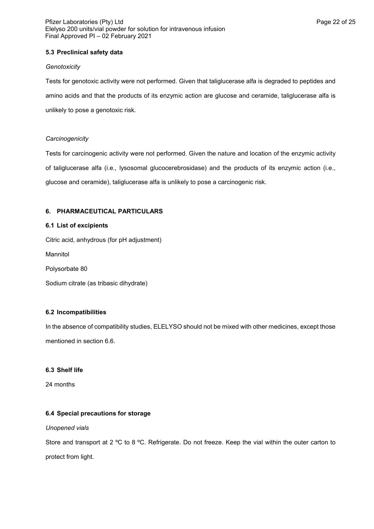## **5.3 Preclinical safety data**

#### *Genotoxicity*

Tests for genotoxic activity were not performed. Given that taliglucerase alfa is degraded to peptides and amino acids and that the products of its enzymic action are glucose and ceramide, taliglucerase alfa is unlikely to pose a genotoxic risk.

### *Carcinogenicity*

Tests for carcinogenic activity were not performed. Given the nature and location of the enzymic activity of taliglucerase alfa (i.e., lysosomal glucocerebrosidase) and the products of its enzymic action (i.e., glucose and ceramide), taliglucerase alfa is unlikely to pose a carcinogenic risk.

### **6. PHARMACEUTICAL PARTICULARS**

### **6.1 List of excipients**

Citric acid, anhydrous (for pH adjustment)

Mannitol

Polysorbate 80

Sodium citrate (as tribasic dihydrate)

### **6.2 Incompatibilities**

In the absence of compatibility studies, ELELYSO should not be mixed with other medicines, except those mentioned in section 6.6.

### **6.3 Shelf life**

24 months

### **6.4 Special precautions for storage**

*Unopened vials*

Store and transport at 2 °C to 8 °C. Refrigerate. Do not freeze. Keep the vial within the outer carton to protect from light.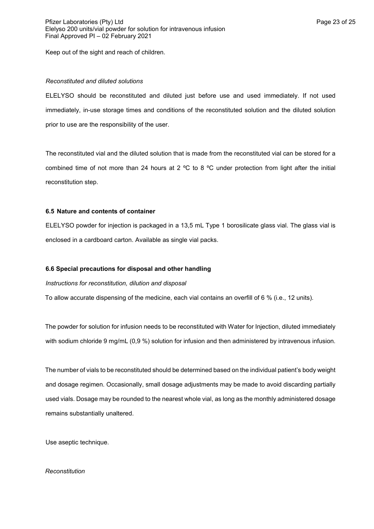Keep out of the sight and reach of children.

#### *Reconstituted and diluted solutions*

ELELYSO should be reconstituted and diluted just before use and used immediately. If not used immediately, in-use storage times and conditions of the reconstituted solution and the diluted solution prior to use are the responsibility of the user.

The reconstituted vial and the diluted solution that is made from the reconstituted vial can be stored for a combined time of not more than 24 hours at 2 ºC to 8 ºC under protection from light after the initial reconstitution step.

### **6.5 Nature and contents of container**

ELELYSO powder for injection is packaged in a 13,5 mL Type 1 borosilicate glass vial. The glass vial is enclosed in a cardboard carton. Available as single vial packs.

#### **6.6 Special precautions for disposal and other handling**

*Instructions for reconstitution, dilution and disposal*

To allow accurate dispensing of the medicine, each vial contains an overfill of 6 % (i.e., 12 units).

The powder for solution for infusion needs to be reconstituted with Water for Injection, diluted immediately with sodium chloride 9 mg/mL (0,9 %) solution for infusion and then administered by intravenous infusion.

The number of vials to be reconstituted should be determined based on the individual patient's body weight and dosage regimen. Occasionally, small dosage adjustments may be made to avoid discarding partially used vials. Dosage may be rounded to the nearest whole vial, as long as the monthly administered dosage remains substantially unaltered.

Use aseptic technique.

#### *Reconstitution*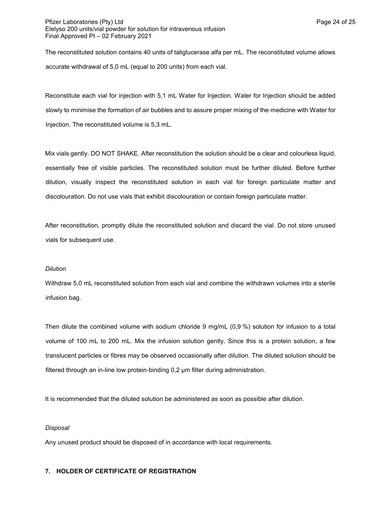### Pfizer Laboratories (Pty) Ltd **Page 24 of 25** Pfizer Laboratories (Pty) Ltd Elelyso 200 units/vial powder for solution for intravenous infusion Final Approved PI – 02 February 2021

The reconstituted solution contains 40 units of taliglucerase alfa per mL. The reconstituted volume allows accurate withdrawal of 5,0 mL (equal to 200 units) from each vial.

Reconstitute each vial for injection with 5,1 mL Water for Injection. Water for Injection should be added slowly to minimise the formation of air bubbles and to assure proper mixing of the medicine with Water for Injection. The reconstituted volume is 5,3 mL.

Mix vials gently. DO NOT SHAKE. After reconstitution the solution should be a clear and colourless liquid, essentially free of visible particles. The reconstituted solution must be further diluted. Before further dilution, visually inspect the reconstituted solution in each vial for foreign particulate matter and discolouration. Do not use vials that exhibit discolouration or contain foreign particulate matter.

After reconstitution, promptly dilute the reconstituted solution and discard the vial. Do not store unused vials for subsequent use.

### *Dilution*

Withdraw 5,0 mL reconstituted solution from each vial and combine the withdrawn volumes into a sterile infusion bag.

Then dilute the combined volume with sodium chloride 9 mg/mL (0,9 %) solution for infusion to a total volume of 100 mL to 200 mL. Mix the infusion solution gently. Since this is a protein solution, a few translucent particles or fibres may be observed occasionally after dilution. The diluted solution should be filtered through an in-line low protein-binding 0,2 µm filter during administration.

It is recommended that the diluted solution be administered as soon as possible after dilution.

### *Disposal*

Any unused product should be disposed of in accordance with local requirements.

### **7. HOLDER OF CERTIFICATE OF REGISTRATION**